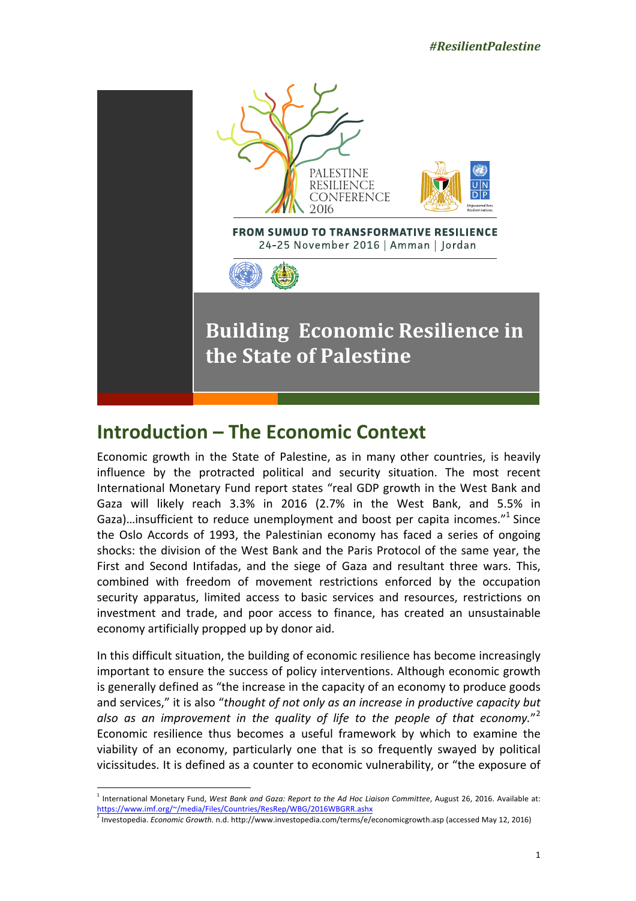

# **Introduction - The Economic Context**

Economic growth in the State of Palestine, as in many other countries, is heavily influence by the protracted political and security situation. The most recent International Monetary Fund report states "real GDP growth in the West Bank and Gaza will likely reach 3.3% in 2016 (2.7% in the West Bank, and 5.5% in Gaza)...insufficient to reduce unemployment and boost per capita incomes. $^{\prime\prime}$  Since the Oslo Accords of 1993, the Palestinian economy has faced a series of ongoing shocks: the division of the West Bank and the Paris Protocol of the same year, the First and Second Intifadas, and the siege of Gaza and resultant three wars. This, combined with freedom of movement restrictions enforced by the occupation security apparatus, limited access to basic services and resources, restrictions on investment and trade, and poor access to finance, has created an unsustainable economy artificially propped up by donor aid.

In this difficult situation, the building of economic resilience has become increasingly important to ensure the success of policy interventions. Although economic growth is generally defined as "the increase in the capacity of an economy to produce goods and services," it is also "*thought of not only as an increase in productive capacity but* also as an improvement in the quality of life to the people of that economy."<sup>2</sup> Economic resilience thus becomes a useful framework by which to examine the viability of an economy, particularly one that is so frequently swayed by political vicissitudes. It is defined as a counter to economic vulnerability, or "the exposure of

 $^1$  International Monetary Fund, West Bank and Gaza: Report to the Ad Hoc Liaison Committee, August 26, 2016. Available at: https://www.imf.org/~/media/Files/Countries/ResRep/WBG/2016WBGRR.ashx

<sup>&</sup>lt;sup>2</sup> Investopedia. *Economic Growth.* n.d. http://www.investopedia.com/terms/e/economicgrowth.asp (accessed May 12, 2016)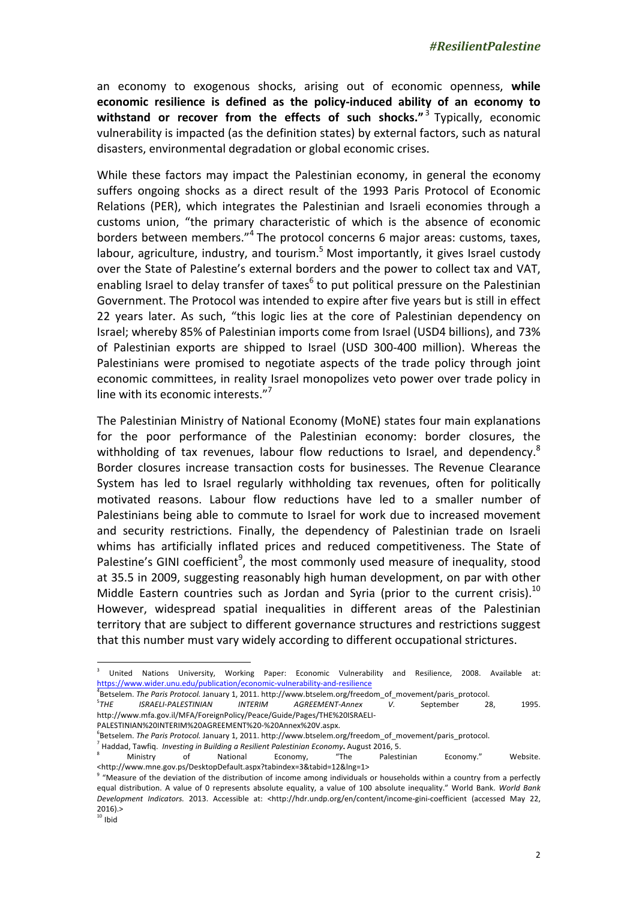an economy to exogenous shocks, arising out of economic openness, while economic resilience is defined as the policy-induced ability of an economy to **withstand or recover from the effects of such shocks."** 3 Typically, economic vulnerability is impacted (as the definition states) by external factors, such as natural disasters, environmental degradation or global economic crises.

While these factors may impact the Palestinian economy, in general the economy suffers ongoing shocks as a direct result of the 1993 Paris Protocol of Economic Relations (PER), which integrates the Palestinian and Israeli economies through a customs union, "the primary characteristic of which is the absence of economic borders between members."<sup>4</sup> The protocol concerns 6 major areas: customs, taxes, labour, agriculture, industry, and tourism.  $5$  Most importantly, it gives Israel custody over the State of Palestine's external borders and the power to collect tax and VAT, enabling Israel to delay transfer of taxes<sup>6</sup> to put political pressure on the Palestinian Government. The Protocol was intended to expire after five years but is still in effect 22 years later. As such, "this logic lies at the core of Palestinian dependency on Israel; whereby 85% of Palestinian imports come from Israel (USD4 billions), and 73% of Palestinian exports are shipped to Israel (USD 300-400 million). Whereas the Palestinians were promised to negotiate aspects of the trade policy through joint economic committees, in reality Israel monopolizes veto power over trade policy in line with its economic interests." $7$ 

The Palestinian Ministry of National Economy (MoNE) states four main explanations for the poor performance of the Palestinian economy: border closures, the withholding of tax revenues, labour flow reductions to Israel, and dependency.<sup>8</sup> Border closures increase transaction costs for businesses. The Revenue Clearance System has led to Israel regularly withholding tax revenues, often for politically motivated reasons. Labour flow reductions have led to a smaller number of Palestinians being able to commute to Israel for work due to increased movement and security restrictions. Finally, the dependency of Palestinian trade on Israeli whims has artificially inflated prices and reduced competitiveness. The State of Palestine's GINI coefficient<sup>9</sup>, the most commonly used measure of inequality, stood at 35.5 in 2009, suggesting reasonably high human development, on par with other Middle Eastern countries such as Jordan and Syria (prior to the current crisis).<sup>10</sup> However, widespread spatial inequalities in different areas of the Palestinian territory that are subject to different governance structures and restrictions suggest that this number must vary widely according to different occupational strictures.

<sup>4</sup>Betselem. The Paris Protocol. January 1, 2011. http://www.btselem.org/freedom\_of\_movement/paris\_protocol.

 $5$ THE **ISRAELI-PALESTINIAN** INTERIM AGREEMENT-Annex V. September 28, 1995. http://www.mfa.gov.il/MFA/ForeignPolicy/Peace/Guide/Pages/THE%20ISRAELI-PALESTINIAN%20INTERIM%20AGREEMENT%20-%20Annex%20V.aspx.

<sup>6</sup>Betselem. The Paris Protocol. January 1, 2011. http://www.btselem.org/freedom\_of\_movement/paris\_protocol.

United Nations University, Working Paper: Economic Vulnerability and Resilience, 2008. Available at: https://www.wider.unu.edu/publication/economic-vulnerability-and-resilience

<sup>&</sup>lt;sup>7</sup> Haddad, Tawfig. *Investing in Building a Resilient Palestinian Economy***.** August 2016, 5.

<sup>&</sup>lt;sup>8</sup> Ministry of National Economy, "The Palestinian Economy." Website. <http://www.mne.gov.ps/DesktopDefault.aspx?tabindex=3&tabid=12&lng=1>

 $9$  "Measure of the deviation of the distribution of income among individuals or households within a country from a perfectly equal distribution. A value of 0 represents absolute equality, a value of 100 absolute inequality." World Bank. World Bank Development Indicators. 2013. Accessible at: <http://hdr.undp.org/en/content/income-gini-coefficient (accessed May 22,  $2016$ )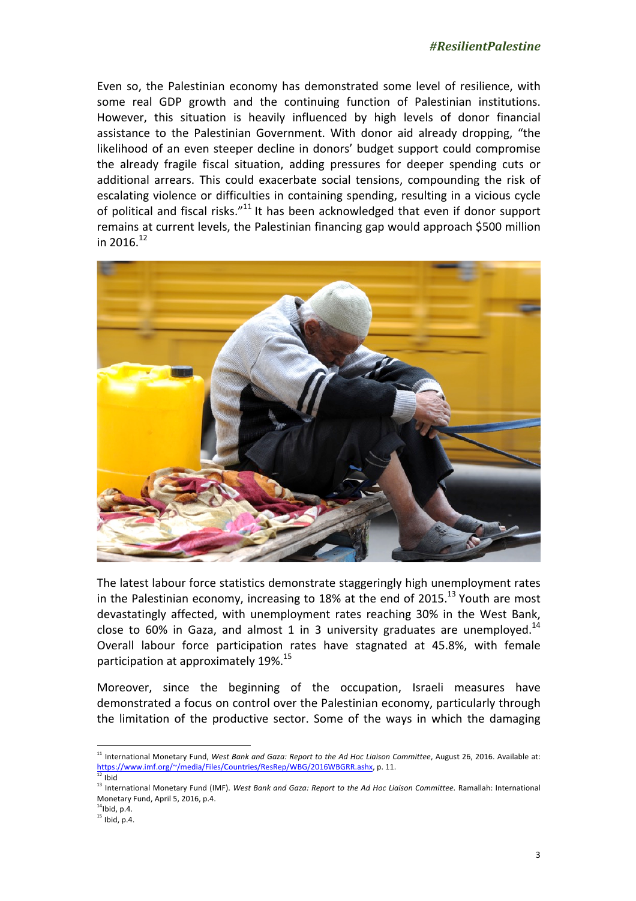Even so, the Palestinian economy has demonstrated some level of resilience, with some real GDP growth and the continuing function of Palestinian institutions. However, this situation is heavily influenced by high levels of donor financial assistance to the Palestinian Government. With donor aid already dropping, "the likelihood of an even steeper decline in donors' budget support could compromise the already fragile fiscal situation, adding pressures for deeper spending cuts or additional arrears. This could exacerbate social tensions, compounding the risk of escalating violence or difficulties in containing spending, resulting in a vicious cycle of political and fiscal risks." $11$  It has been acknowledged that even if donor support remains at current levels, the Palestinian financing gap would approach \$500 million in 2016. $12$ 



The latest labour force statistics demonstrate staggeringly high unemployment rates in the Palestinian economy, increasing to 18% at the end of 2015.<sup>13</sup> Youth are most devastatingly affected, with unemployment rates reaching 30% in the West Bank, close to 60% in Gaza, and almost 1 in 3 university graduates are unemployed.<sup>14</sup> Overall labour force participation rates have stagnated at 45.8%, with female participation at approximately  $19\%$ .<sup>15</sup>

Moreover, since the beginning of the occupation, Israeli measures have demonstrated a focus on control over the Palestinian economy, particularly through the limitation of the productive sector. Some of the ways in which the damaging

<sup>&</sup>lt;sup>11</sup> International Monetary Fund, West Bank and Gaza: Report to the Ad Hoc Liaison Committee, August 26, 2016. Available at: https://www.imf.org/~/media/Files/Countries/ResRep/WBG/2016WBGRR.ashx, p. 11.<br>R.i. .

<sup>12</sup> Ibid

<sup>&</sup>lt;sup>13</sup> International Monetary Fund (IMF). West Bank and Gaza: Report to the Ad Hoc Liaison Committee. Ramallah: International Monetary Fund, April 5, 2016, p.4.

 $14$ Ibid, p.4.

 $15$  Ibid, p.4.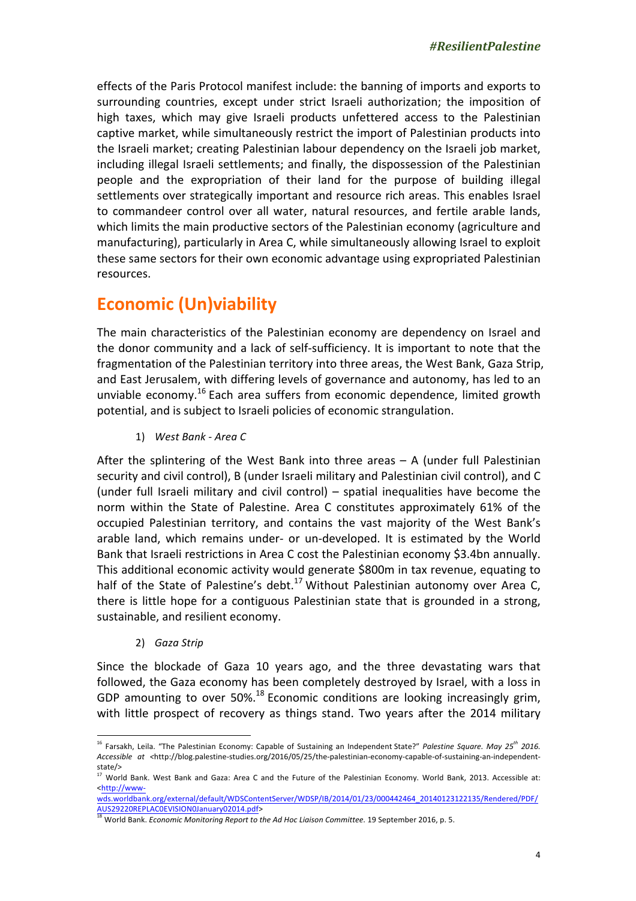effects of the Paris Protocol manifest include: the banning of imports and exports to surrounding countries, except under strict Israeli authorization; the imposition of high taxes, which may give Israeli products unfettered access to the Palestinian captive market, while simultaneously restrict the import of Palestinian products into the Israeli market; creating Palestinian labour dependency on the Israeli job market, including illegal Israeli settlements; and finally, the dispossession of the Palestinian people and the expropriation of their land for the purpose of building illegal settlements over strategically important and resource rich areas. This enables Israel to commandeer control over all water, natural resources, and fertile arable lands, which limits the main productive sectors of the Palestinian economy (agriculture and manufacturing), particularly in Area C, while simultaneously allowing Israel to exploit these same sectors for their own economic advantage using expropriated Palestinian resources.

## **Economic (Un)viability**

The main characteristics of the Palestinian economy are dependency on Israel and the donor community and a lack of self-sufficiency. It is important to note that the fragmentation of the Palestinian territory into three areas, the West Bank, Gaza Strip, and East Jerusalem, with differing levels of governance and autonomy, has led to an unviable economy.<sup>16</sup> Each area suffers from economic dependence, limited growth potential, and is subject to Israeli policies of economic strangulation.

1) West Bank - Area C

After the splintering of the West Bank into three areas  $- A$  (under full Palestinian security and civil control), B (under Israeli military and Palestinian civil control), and C (under full Israeli military and civil control)  $-$  spatial inequalities have become the norm within the State of Palestine. Area C constitutes approximately 61% of the occupied Palestinian territory, and contains the vast majority of the West Bank's arable land, which remains under- or un-developed. It is estimated by the World Bank that Israeli restrictions in Area C cost the Palestinian economy \$3.4bn annually. This additional economic activity would generate \$800m in tax revenue, equating to half of the State of Palestine's  $debt.<sup>17</sup>$  Without Palestinian autonomy over Area C, there is little hope for a contiguous Palestinian state that is grounded in a strong, sustainable, and resilient economy.

2) *Gaza Strip*

 

Since the blockade of Gaza 10 years ago, and the three devastating wars that followed, the Gaza economy has been completely destroyed by Israel, with a loss in GDP amounting to over 50%.<sup>18</sup> Economic conditions are looking increasingly grim, with little prospect of recovery as things stand. Two years after the 2014 military

<sup>&</sup>lt;sup>16</sup> Farsakh, Leila. "The Palestinian Economy: Capable of Sustaining an Independent State?" *Palestine Square. May 25<sup>th</sup> 2016. Accessible at <*http://blog.palestine-studies.org/2016/05/25/the-palestinian-economy-capable-of-sustaining-an-independentstate/ $>$ <sup>17</sup> M/z

world Bank. West Bank and Gaza: Area C and the Future of the Palestinian Economy. World Bank, 2013. Accessible at: <http://www-

wds.worldbank.org/external/default/WDSContentServer/WDSP/IB/2014/01/23/000442464\_20140123122135/Rendered/PDF/ AUS29220REPLAC0EVISION0January02014.pdf>

<sup>&</sup>lt;sup>18</sup> World Bank. *Economic Monitoring Report to the Ad Hoc Liaison Committee.* 19 September 2016, p. 5.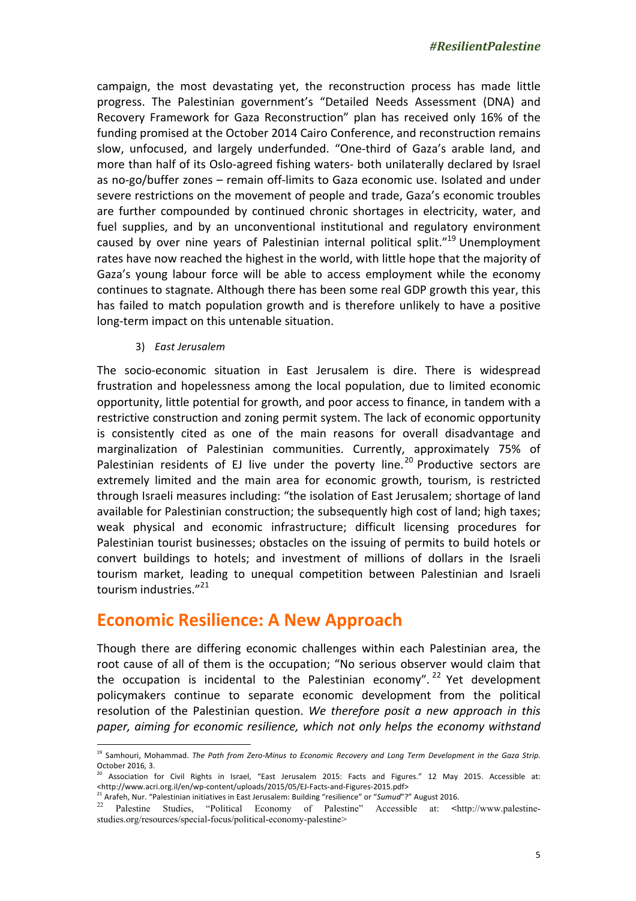campaign, the most devastating yet, the reconstruction process has made little progress. The Palestinian government's "Detailed Needs Assessment (DNA) and Recovery Framework for Gaza Reconstruction" plan has received only 16% of the funding promised at the October 2014 Cairo Conference, and reconstruction remains slow, unfocused, and largely underfunded. "One-third of Gaza's arable land, and more than half of its Oslo-agreed fishing waters- both unilaterally declared by Israel as no-go/buffer zones – remain off-limits to Gaza economic use. Isolated and under severe restrictions on the movement of people and trade, Gaza's economic troubles are further compounded by continued chronic shortages in electricity, water, and fuel supplies, and by an unconventional institutional and regulatory environment caused by over nine years of Palestinian internal political split."<sup>19</sup> Unemployment rates have now reached the highest in the world, with little hope that the majority of Gaza's young labour force will be able to access employment while the economy continues to stagnate. Although there has been some real GDP growth this year, this has failed to match population growth and is therefore unlikely to have a positive long-term impact on this untenable situation.

3) *East Jerusalem*

 

The socio-economic situation in East Jerusalem is dire. There is widespread frustration and hopelessness among the local population, due to limited economic opportunity, little potential for growth, and poor access to finance, in tandem with a restrictive construction and zoning permit system. The lack of economic opportunity is consistently cited as one of the main reasons for overall disadvantage and marginalization of Palestinian communities. Currently, approximately 75% of Palestinian residents of EJ live under the poverty line.<sup>20</sup> Productive sectors are extremely limited and the main area for economic growth, tourism, is restricted through Israeli measures including: "the isolation of East Jerusalem; shortage of land available for Palestinian construction; the subsequently high cost of land; high taxes; weak physical and economic infrastructure; difficult licensing procedures for Palestinian tourist businesses; obstacles on the issuing of permits to build hotels or convert buildings to hotels; and investment of millions of dollars in the Israeli tourism market, leading to unequal competition between Palestinian and Israeli tourism industries."<sup>21</sup>

#### **Economic Resilience: A New Approach**

Though there are differing economic challenges within each Palestinian area, the root cause of all of them is the occupation; "No serious observer would claim that the occupation is incidental to the Palestinian economy". <sup>22</sup> Yet development policymakers continue to separate economic development from the political resolution of the Palestinian question. We therefore posit a new approach in this paper, aiming for economic resilience, which not only helps the economy withstand

<sup>&</sup>lt;sup>19</sup> Samhouri, Mohammad. The Path from Zero-Minus to Economic Recovery and Long Term Development in the Gaza Strip. October 2016*,* 3.

Association for Civil Rights in Israel, "East Jerusalem 2015: Facts and Figures." 12 May 2015. Accessible at: <http://www.acri.org.il/en/wp-content/uploads/2015/05/EJ-Facts-and-Figures-2015.pdf>

<sup>&</sup>lt;sup>21</sup> Arafeh, Nur. "Palestinian initiatives in East Jerusalem: Building "resilience" or "Sumud"?" August 2016.

<sup>22</sup> Palestine Studies, "Political Economy of Palestine" Accessible at: **<**http://www.palestinestudies.org/resources/special-focus/political-economy-palestine>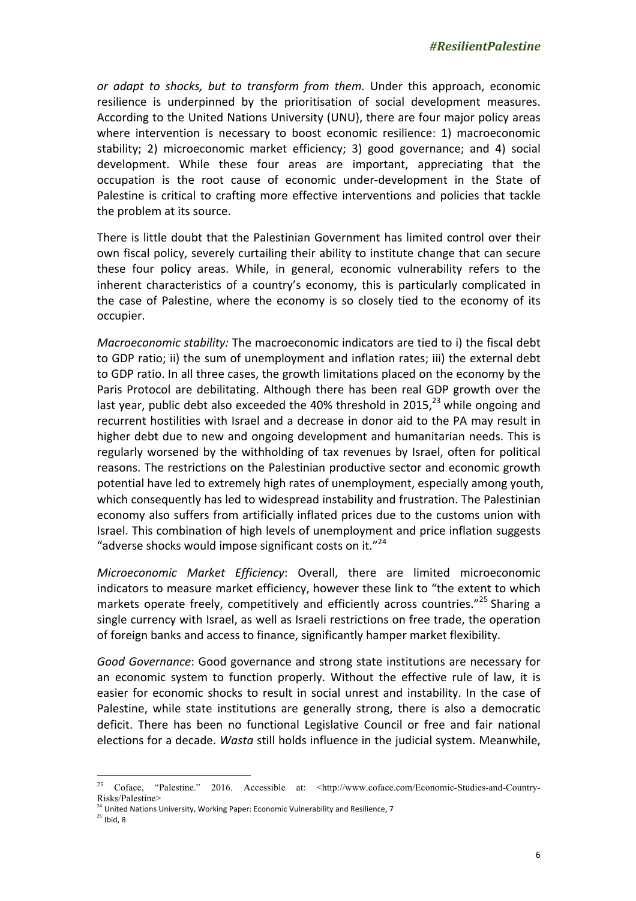*or* adapt to shocks, but to transform from them. Under this approach, economic resilience is underpinned by the prioritisation of social development measures. According to the United Nations University (UNU), there are four major policy areas where intervention is necessary to boost economic resilience: 1) macroeconomic stability; 2) microeconomic market efficiency; 3) good governance; and 4) social development. While these four areas are important, appreciating that the occupation is the root cause of economic under-development in the State of Palestine is critical to crafting more effective interventions and policies that tackle the problem at its source.

There is little doubt that the Palestinian Government has limited control over their own fiscal policy, severely curtailing their ability to institute change that can secure these four policy areas. While, in general, economic vulnerability refers to the inherent characteristics of a country's economy, this is particularly complicated in the case of Palestine, where the economy is so closely tied to the economy of its occupier.

*Macroeconomic stability:* The macroeconomic indicators are tied to i) the fiscal debt to GDP ratio; ii) the sum of unemployment and inflation rates; iii) the external debt to GDP ratio. In all three cases, the growth limitations placed on the economy by the Paris Protocol are debilitating. Although there has been real GDP growth over the last year, public debt also exceeded the 40% threshold in 2015, $^{23}$  while ongoing and recurrent hostilities with Israel and a decrease in donor aid to the PA may result in higher debt due to new and ongoing development and humanitarian needs. This is regularly worsened by the withholding of tax revenues by Israel, often for political reasons. The restrictions on the Palestinian productive sector and economic growth potential have led to extremely high rates of unemployment, especially among youth, which consequently has led to widespread instability and frustration. The Palestinian economy also suffers from artificially inflated prices due to the customs union with Israel. This combination of high levels of unemployment and price inflation suggests "adverse shocks would impose significant costs on it." $^{24}$ 

*Microeconomic Market Efficiency*: Overall, there are limited microeconomic indicators to measure market efficiency, however these link to "the extent to which markets operate freely, competitively and efficiently across countries."<sup>25</sup> Sharing a single currency with Israel, as well as Israeli restrictions on free trade, the operation of foreign banks and access to finance, significantly hamper market flexibility.

Good Governance: Good governance and strong state institutions are necessary for an economic system to function properly. Without the effective rule of law, it is easier for economic shocks to result in social unrest and instability. In the case of Palestine, while state institutions are generally strong, there is also a democratic deficit. There has been no functional Legislative Council or free and fair national elections for a decade. *Wasta* still holds influence in the judicial system. Meanwhile,

<sup>&</sup>lt;sup>23</sup> Coface, "Palestine." 2016. Accessible at: <http://www.coface.com/Economic-Studies-and-Country-Risks/Palestine>

<sup>&</sup>lt;sup>24</sup> United Nations University, Working Paper: Economic Vulnerability and Resilience, 7

 $25$  Ibid, 8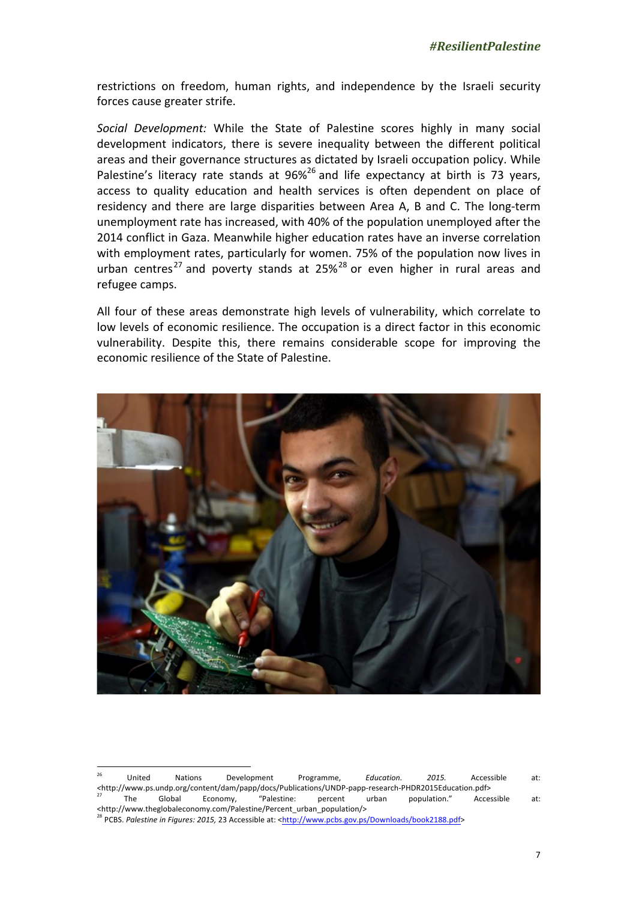restrictions on freedom, human rights, and independence by the Israeli security forces cause greater strife.

*Social Development:* While the State of Palestine scores highly in many social development indicators, there is severe inequality between the different political areas and their governance structures as dictated by Israeli occupation policy. While Palestine's literacy rate stands at  $96\%$ <sup>26</sup> and life expectancy at birth is 73 years, access to quality education and health services is often dependent on place of residency and there are large disparities between Area A, B and C. The long-term unemployment rate has increased, with 40% of the population unemployed after the 2014 conflict in Gaza. Meanwhile higher education rates have an inverse correlation with employment rates, particularly for women. 75% of the population now lives in urban centres<sup>27</sup> and poverty stands at  $25\%$ <sup>28</sup> or even higher in rural areas and refugee camps.

All four of these areas demonstrate high levels of vulnerability, which correlate to low levels of economic resilience. The occupation is a direct factor in this economic vulnerability. Despite this, there remains considerable scope for improving the economic resilience of the State of Palestine.



United Nations Development Programme, *Education. 2015.* Accessible at: *<*http://www.ps.undp.org/content/dam/papp/docs/Publications/UNDP-papp-research-PHDR2015Education.pdf> <sup>27</sup> The Global Economy, "Palestine: percent urban population." Accessible at: <http://www.theglobaleconomy.com/Palestine/Percent\_urban\_population/>

<sup>&</sup>lt;sup>28</sup> PCBS. Palestine in Figures: 2015, 23 Accessible at: <http://www.pcbs.gov.ps/Downloads/book2188.pdf>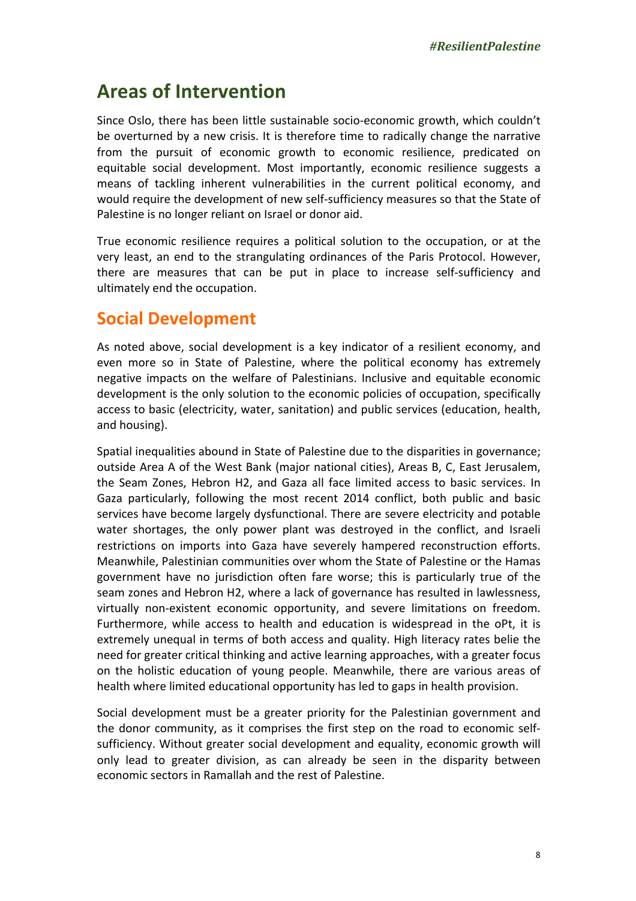# **Areas of Intervention**

Since Oslo, there has been little sustainable socio-economic growth, which couldn't be overturned by a new crisis. It is therefore time to radically change the narrative from the pursuit of economic growth to economic resilience, predicated on equitable social development. Most importantly, economic resilience suggests a means of tackling inherent vulnerabilities in the current political economy, and would require the development of new self-sufficiency measures so that the State of Palestine is no longer reliant on Israel or donor aid.

True economic resilience requires a political solution to the occupation, or at the very least, an end to the strangulating ordinances of the Paris Protocol. However, there are measures that can be put in place to increase self-sufficiency and ultimately end the occupation.

#### **Social Development**

As noted above, social development is a key indicator of a resilient economy, and even more so in State of Palestine, where the political economy has extremely negative impacts on the welfare of Palestinians. Inclusive and equitable economic development is the only solution to the economic policies of occupation, specifically access to basic (electricity, water, sanitation) and public services (education, health, and housing).

Spatial inequalities abound in State of Palestine due to the disparities in governance; outside Area A of the West Bank (major national cities), Areas B, C, East Jerusalem, the Seam Zones, Hebron H2, and Gaza all face limited access to basic services. In Gaza particularly, following the most recent 2014 conflict, both public and basic services have become largely dysfunctional. There are severe electricity and potable water shortages, the only power plant was destroyed in the conflict, and Israeli restrictions on imports into Gaza have severely hampered reconstruction efforts. Meanwhile, Palestinian communities over whom the State of Palestine or the Hamas government have no jurisdiction often fare worse; this is particularly true of the seam zones and Hebron H2, where a lack of governance has resulted in lawlessness, virtually non-existent economic opportunity, and severe limitations on freedom. Furthermore, while access to health and education is widespread in the oPt, it is extremely unequal in terms of both access and quality. High literacy rates belie the need for greater critical thinking and active learning approaches, with a greater focus on the holistic education of young people. Meanwhile, there are various areas of health where limited educational opportunity has led to gaps in health provision.

Social development must be a greater priority for the Palestinian government and the donor community, as it comprises the first step on the road to economic selfsufficiency. Without greater social development and equality, economic growth will only lead to greater division, as can already be seen in the disparity between economic sectors in Ramallah and the rest of Palestine.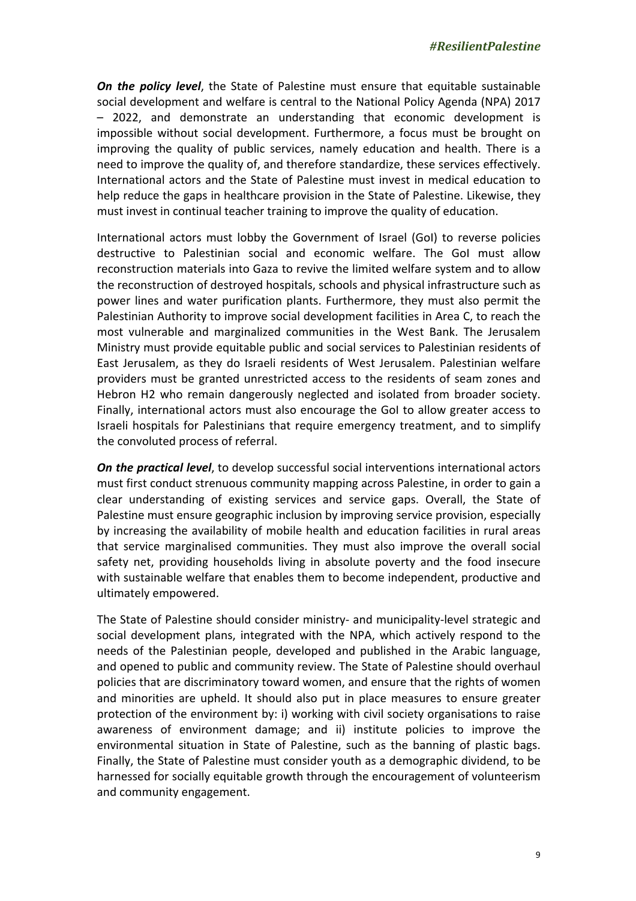**On the policy level**, the State of Palestine must ensure that equitable sustainable social development and welfare is central to the National Policy Agenda (NPA) 2017 – 2022, and demonstrate an understanding that economic development is impossible without social development. Furthermore, a focus must be brought on improving the quality of public services, namely education and health. There is a need to improve the quality of, and therefore standardize, these services effectively. International actors and the State of Palestine must invest in medical education to help reduce the gaps in healthcare provision in the State of Palestine. Likewise, they must invest in continual teacher training to improve the quality of education.

International actors must lobby the Government of Israel (GoI) to reverse policies destructive to Palestinian social and economic welfare. The GoI must allow reconstruction materials into Gaza to revive the limited welfare system and to allow the reconstruction of destroyed hospitals, schools and physical infrastructure such as power lines and water purification plants. Furthermore, they must also permit the Palestinian Authority to improve social development facilities in Area C, to reach the most vulnerable and marginalized communities in the West Bank. The Jerusalem Ministry must provide equitable public and social services to Palestinian residents of East Jerusalem, as they do Israeli residents of West Jerusalem. Palestinian welfare providers must be granted unrestricted access to the residents of seam zones and Hebron H2 who remain dangerously neglected and isolated from broader society. Finally, international actors must also encourage the GoI to allow greater access to Israeli hospitals for Palestinians that require emergency treatment, and to simplify the convoluted process of referral.

**On the practical level**, to develop successful social interventions international actors must first conduct strenuous community mapping across Palestine, in order to gain a clear understanding of existing services and service gaps. Overall, the State of Palestine must ensure geographic inclusion by improving service provision, especially by increasing the availability of mobile health and education facilities in rural areas that service marginalised communities. They must also improve the overall social safety net, providing households living in absolute poverty and the food insecure with sustainable welfare that enables them to become independent, productive and ultimately empowered.

The State of Palestine should consider ministry- and municipality-level strategic and social development plans, integrated with the NPA, which actively respond to the needs of the Palestinian people, developed and published in the Arabic language, and opened to public and community review. The State of Palestine should overhaul policies that are discriminatory toward women, and ensure that the rights of women and minorities are upheld. It should also put in place measures to ensure greater protection of the environment by: i) working with civil society organisations to raise awareness of environment damage; and ii) institute policies to improve the environmental situation in State of Palestine, such as the banning of plastic bags. Finally, the State of Palestine must consider youth as a demographic dividend, to be harnessed for socially equitable growth through the encouragement of volunteerism and community engagement.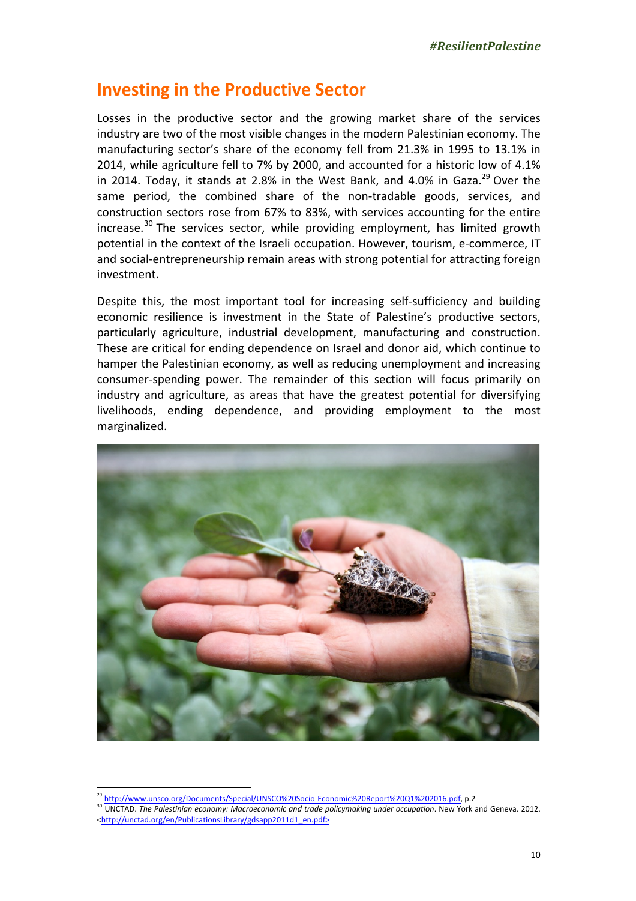#### **Investing in the Productive Sector**

Losses in the productive sector and the growing market share of the services industry are two of the most visible changes in the modern Palestinian economy. The manufacturing sector's share of the economy fell from 21.3% in 1995 to 13.1% in 2014, while agriculture fell to 7% by 2000, and accounted for a historic low of 4.1% in 2014. Today, it stands at 2.8% in the West Bank, and 4.0% in Gaza.<sup>29</sup> Over the same period, the combined share of the non-tradable goods, services, and construction sectors rose from 67% to 83%, with services accounting for the entire increase.<sup>30</sup> The services sector, while providing employment, has limited growth potential in the context of the Israeli occupation. However, tourism, e-commerce, IT and social-entrepreneurship remain areas with strong potential for attracting foreign investment. 

Despite this, the most important tool for increasing self-sufficiency and building economic resilience is investment in the State of Palestine's productive sectors, particularly agriculture, industrial development, manufacturing and construction. These are critical for ending dependence on Israel and donor aid, which continue to hamper the Palestinian economy, as well as reducing unemployment and increasing consumer-spending power. The remainder of this section will focus primarily on industry and agriculture, as areas that have the greatest potential for diversifying livelihoods, ending dependence, and providing employment to the most marginalized.



http://www.unsco.org/Documents/Special/UNSCO%20Socio-Economic%20Report%20Q1%202016.pdf, p.2

<sup>30</sup> UNCTAD. The Palestinian economy: Macroeconomic and trade policymaking under occupation. New York and Geneva. 2012. <http://unctad.org/en/PublicationsLibrary/gdsapp2011d1\_en.pdf>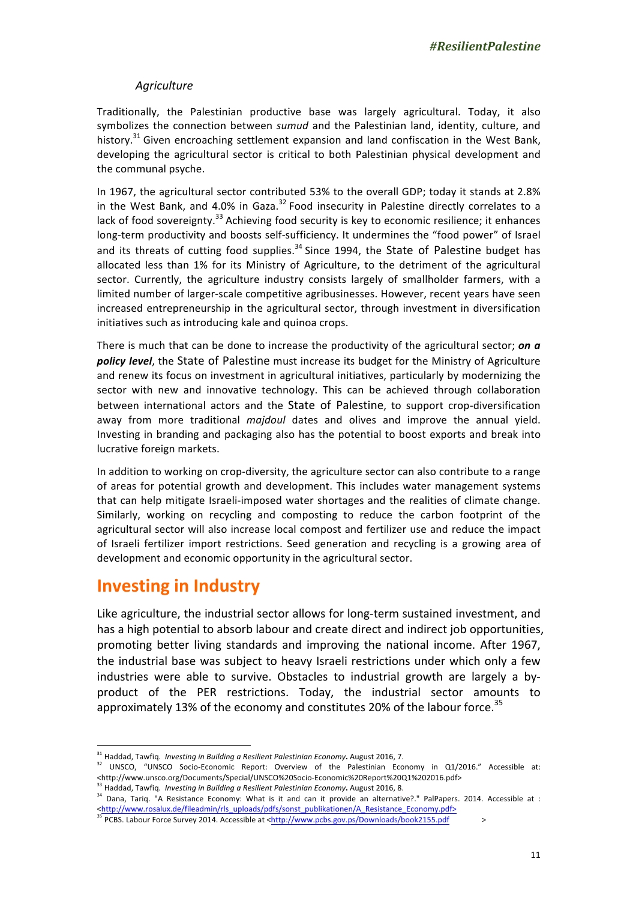#### *Agriculture*

Traditionally, the Palestinian productive base was largely agricultural. Today, it also symbolizes the connection between *sumud* and the Palestinian land, identity, culture, and history.<sup>31</sup> Given encroaching settlement expansion and land confiscation in the West Bank, developing the agricultural sector is critical to both Palestinian physical development and the communal psyche.

In 1967, the agricultural sector contributed 53% to the overall GDP; today it stands at 2.8% in the West Bank, and 4.0% in Gaza.<sup>32</sup> Food insecurity in Palestine directly correlates to a lack of food sovereignty.<sup>33</sup> Achieving food security is key to economic resilience; it enhances long-term productivity and boosts self-sufficiency. It undermines the "food power" of Israel and its threats of cutting food supplies.<sup>34</sup> Since 1994, the State of Palestine budget has allocated less than 1% for its Ministry of Agriculture, to the detriment of the agricultural sector. Currently, the agriculture industry consists largely of smallholder farmers, with a limited number of larger-scale competitive agribusinesses. However, recent years have seen increased entrepreneurship in the agricultural sector, through investment in diversification initiatives such as introducing kale and quinoa crops.

There is much that can be done to increase the productivity of the agricultural sector; **on a policy level**, the State of Palestine must increase its budget for the Ministry of Agriculture and renew its focus on investment in agricultural initiatives, particularly by modernizing the sector with new and innovative technology. This can be achieved through collaboration between international actors and the State of Palestine, to support crop-diversification away from more traditional *majdoul* dates and olives and improve the annual yield. Investing in branding and packaging also has the potential to boost exports and break into lucrative foreign markets.

In addition to working on crop-diversity, the agriculture sector can also contribute to a range of areas for potential growth and development. This includes water management systems that can help mitigate Israeli-imposed water shortages and the realities of climate change. Similarly, working on recycling and composting to reduce the carbon footprint of the agricultural sector will also increase local compost and fertilizer use and reduce the impact of Israeli fertilizer import restrictions. Seed generation and recycling is a growing area of development and economic opportunity in the agricultural sector.

#### **Investing in Industry**

 

Like agriculture, the industrial sector allows for long-term sustained investment, and has a high potential to absorb labour and create direct and indirect job opportunities, promoting better living standards and improving the national income. After 1967, the industrial base was subject to heavy Israeli restrictions under which only a few industries were able to survive. Obstacles to industrial growth are largely a byproduct of the PER restrictions. Today, the industrial sector amounts to approximately 13% of the economy and constitutes 20% of the labour force.<sup>35</sup>

<sup>&</sup>lt;sup>31</sup> Haddad, Tawfiq. *Investing in Building a Resilient Palestinian Economy***.** August 2016, 7.

Fractured, Fravilly, Hivesting in Bunding a nesmining stream exercise of the Palestinian Economy in Q1/2016." Accessible at: <http://www.unsco.org/Documents/Special/UNSCO%20Socio-Economic%20Report%20Q1%202016.pdf>

<sup>&</sup>lt;sup>33</sup> Haddad, Tawfiq. *Investing in Building a Resilient Palestinian Economy*. August 2016, 8.

<sup>134</sup> Dana, Tariq. "A Resistance Economy: What is it and can it provide an alternative?." PalPapers. 2014. Accessible at : <http://www.rosalux.de/fileadmin/rls\_uploads/pdfs/sonst\_publikationen/A\_Resistance\_Economy.pdf>

<sup>35</sup> PCBS. Labour Force Survey 2014. Accessible at <http://www.pcbs.gov.ps/Downloads/book2155.pdf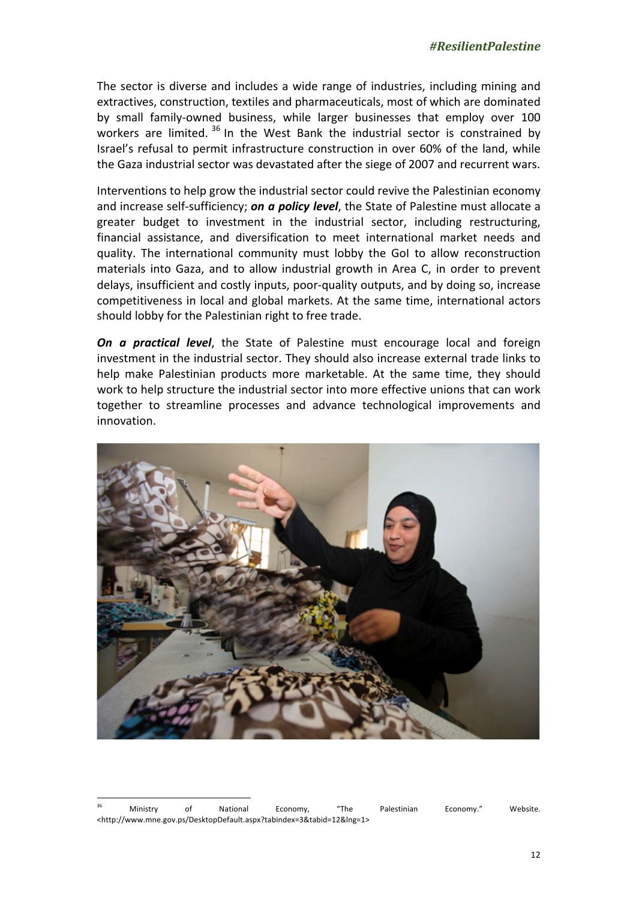The sector is diverse and includes a wide range of industries, including mining and extractives, construction, textiles and pharmaceuticals, most of which are dominated by small family-owned business, while larger businesses that employ over 100 workers are limited.  $36$  In the West Bank the industrial sector is constrained by Israel's refusal to permit infrastructure construction in over 60% of the land, while the Gaza industrial sector was devastated after the siege of 2007 and recurrent wars.

Interventions to help grow the industrial sector could revive the Palestinian economy and increase self-sufficiency; **on a policy level**, the State of Palestine must allocate a greater budget to investment in the industrial sector, including restructuring, financial assistance, and diversification to meet international market needs and quality. The international community must lobby the GoI to allow reconstruction materials into Gaza, and to allow industrial growth in Area C, in order to prevent delays, insufficient and costly inputs, poor-quality outputs, and by doing so, increase competitiveness in local and global markets. At the same time, international actors should lobby for the Palestinian right to free trade.

*On a practical level*, the State of Palestine must encourage local and foreign investment in the industrial sector. They should also increase external trade links to help make Palestinian products more marketable. At the same time, they should work to help structure the industrial sector into more effective unions that can work together to streamline processes and advance technological improvements and innovation. 



<sup>&</sup>lt;sup>36</sup> Ministry of National Economy, "The Palestinian Economy." Website. <http://www.mne.gov.ps/DesktopDefault.aspx?tabindex=3&tabid=12&lng=1>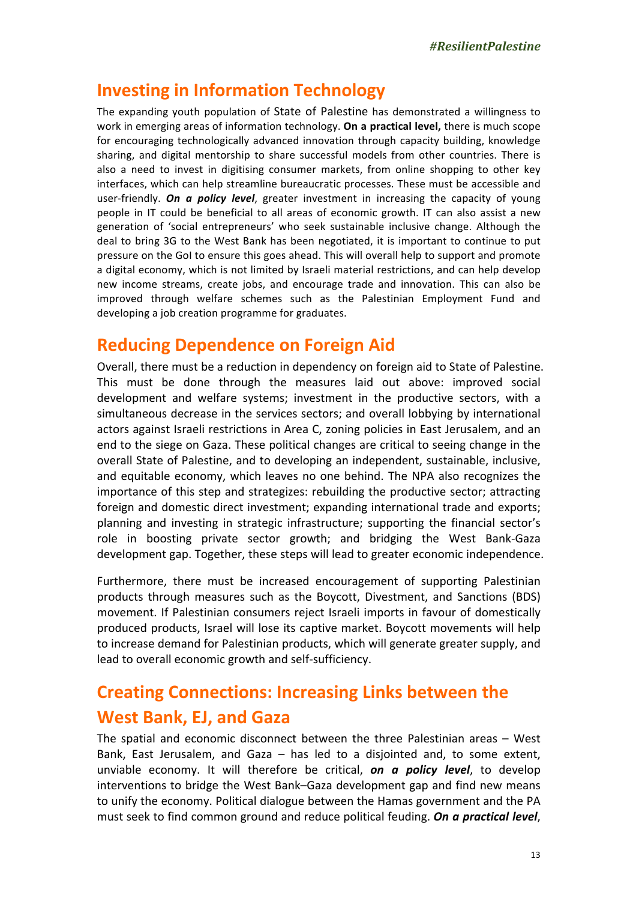### **Investing in Information Technology**

The expanding youth population of State of Palestine has demonstrated a willingness to work in emerging areas of information technology. **On a practical level,** there is much scope for encouraging technologically advanced innovation through capacity building, knowledge sharing, and digital mentorship to share successful models from other countries. There is also a need to invest in digitising consumer markets, from online shopping to other key interfaces, which can help streamline bureaucratic processes. These must be accessible and user-friendly. **On a policy level**, greater investment in increasing the capacity of young people in IT could be beneficial to all areas of economic growth. IT can also assist a new generation of 'social entrepreneurs' who seek sustainable inclusive change. Although the deal to bring 3G to the West Bank has been negotiated, it is important to continue to put pressure on the GoI to ensure this goes ahead. This will overall help to support and promote a digital economy, which is not limited by Israeli material restrictions, and can help develop new income streams, create jobs, and encourage trade and innovation. This can also be improved through welfare schemes such as the Palestinian Employment Fund and developing a job creation programme for graduates.

#### **Reducing Dependence on Foreign Aid**

Overall, there must be a reduction in dependency on foreign aid to State of Palestine. This must be done through the measures laid out above: improved social development and welfare systems; investment in the productive sectors, with a simultaneous decrease in the services sectors; and overall lobbying by international actors against Israeli restrictions in Area C, zoning policies in East Jerusalem, and an end to the siege on Gaza. These political changes are critical to seeing change in the overall State of Palestine, and to developing an independent, sustainable, inclusive, and equitable economy, which leaves no one behind. The NPA also recognizes the importance of this step and strategizes: rebuilding the productive sector; attracting foreign and domestic direct investment; expanding international trade and exports; planning and investing in strategic infrastructure; supporting the financial sector's role in boosting private sector growth; and bridging the West Bank-Gaza development gap. Together, these steps will lead to greater economic independence.

Furthermore, there must be increased encouragement of supporting Palestinian products through measures such as the Boycott, Divestment, and Sanctions (BDS) movement. If Palestinian consumers reject Israeli imports in favour of domestically produced products, Israel will lose its captive market. Boycott movements will help to increase demand for Palestinian products, which will generate greater supply, and lead to overall economic growth and self-sufficiency.

## **Creating Connections: Increasing Links between the West Bank, EJ, and Gaza**

The spatial and economic disconnect between the three Palestinian areas  $-$  West Bank, East Jerusalem, and Gaza  $-$  has led to a disjointed and, to some extent, unviable economy. It will therefore be critical, **on a policy level**, to develop interventions to bridge the West Bank–Gaza development gap and find new means to unify the economy. Political dialogue between the Hamas government and the PA must seek to find common ground and reduce political feuding. **On a practical level**,